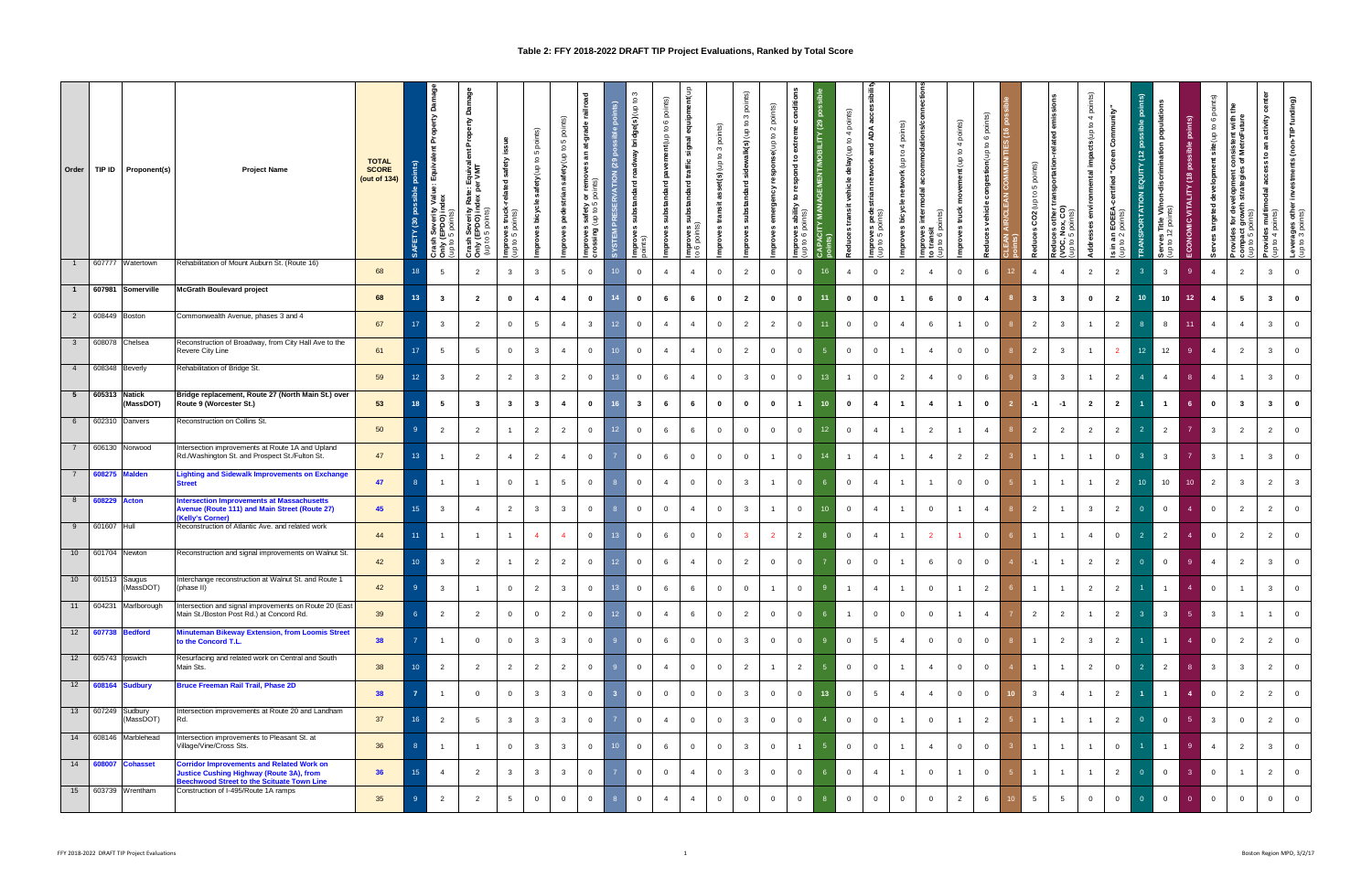## **Table 2: FFY 2018-2022 DRAFT TIP Project Evaluations, Ranked by Total Score**

|              | Order   TIP ID   Proponent(s)  | <b>Project Name</b>                                                                                                                                      | <b>TOTAL</b><br><b>SCORE</b><br>(out of $134$ ) | $\frac{8}{2}$<br>EV<br>SAF | ő<br>⋧<br>h <b>Severi</b><br>(EPDO)<br><sup>0.5</sup> points<br>g | ăğ<br>ᅀ<br>iquivalent<br>VMT<br>。 உ<br>Rat<br>dex<br>h Severity<br>(EPDO) in<br>oints)<br>ه<br>್ಲ<br>ਤੁ | $\mathfrak{F}$<br>truci<br>ints)<br>s<br>as<br>ë<br>ਵੇਂ ਤੋ | ίs)<br>ig<br>5<br>$\overline{\mathbf{c}}$<br>safety(up<br>ூ<br>bicyc<br>8 | ଚ<br>Б<br>್ಲ<br>ਤੈ | gad<br>at-grade<br>ЯĒ.<br>remo<br><sup>pints</sup> )<br>ಕ ¤<br>ety<br>to 5<br>i dh)<br>ਪਾਇ<br>Improves<br>crossing ( | <b>RVATIO</b><br><b>SYSTEM</b> | $\overline{\mathbf{c}}$<br>a(s)(up | oints)<br>$\Omega$<br>$\circ$<br>$\mathfrak{S}$<br>nt(up<br>8<br>਼ਾ<br>andar | equipment(up<br>signal<br>traffic<br>andard<br>ē ā<br>흩응 | 3 points)<br>₽<br>set(s)(up)<br>ass<br>transit<br>proves | points)<br>$\mathfrak{S}$<br>$\mathsf{a}$<br>alk(s) (up<br>tandard<br>oves<br>Ě | ত্ৰ<br>$\Delta$<br>$\sim$<br>$\mathbf{S}$<br>e(up<br>ট<br>prov | š<br>∾<br>extrer<br>೪<br>ত<br>₽<br>⋧<br>ි<br><b>mprove</b><br>սբ to 6 | Ĕ   | points)<br>$\overline{4}$<br>$\mathbf{S}$<br>delay(up<br><u>e</u><br>transit<br>Reduces | ខ្លួ<br>and ADA<br>work,<br>ၔ<br>trian<br>မို့ ဤ<br>8<br>mproves<br>up to 5 pc | ົອ<br>poi<br>$\overline{4}$<br>$\overline{\mathbf{c}}$<br>읔<br>≚<br>č<br>E | <u>ي</u><br><u>ي</u> ڌ | $\widehat{\mathbf{S}}$<br>ā<br>$\overline{4}$<br>$\mathbf{S}$<br>$nt($ up | 6 points)<br>ES (16 pc<br>$\mathfrak{a}$<br><b>UNITIE</b><br>stion(up<br>conge<br>$\frac{2}{3}$<br>Reduces | ints)<br>å<br>5<br>$\mathbf{5}$<br>ਤੁ<br>$_{\rm CO2}$<br>Reduces | S,<br>emis<br>ြစ္ၾ<br>other t<br>x, CO) | 4 points)<br>$\mathbf{a}$<br>impacts(up<br>ental<br>န<br>ddresse<br>$\Omega$<br>್ಲ | nunity'<br>င်္င<br>ਦੁ<br>EOEE<br>$\frac{5}{6}$<br>£. | QUITY (12<br>PORTATI<br>TRANSI | ें हैं<br>Serves Title<br>(up to 12 poin | $\frac{8}{2}$<br><b>ALITY</b><br>È.<br>$\circ$ | points)<br>$\circ$<br>$\mathsf{c}$<br>ŝ<br>site<br>⊭<br>ᄒ<br>geted<br>ថ្ម<br>ček | the<br>nsistent with t<br>MetroFuture<br>ট উ<br>sei6əparas<br>Səl6əparas<br>$\frac{1}{\sqrt{6}}$<br>$\frac{1}{\sqrt{6}}$<br><b>tor</b><br>compact<br>up to 5 p | rter<br>activity<br>ត<br>$\mathbf{S}$<br>aal<br>Provides multir<br>(up to 4 points) | (non-TIP funding)<br>್ಟಿ<br>Leverages other<br>(up to 3 points) |
|--------------|--------------------------------|----------------------------------------------------------------------------------------------------------------------------------------------------------|-------------------------------------------------|----------------------------|-------------------------------------------------------------------|---------------------------------------------------------------------------------------------------------|------------------------------------------------------------|---------------------------------------------------------------------------|--------------------|----------------------------------------------------------------------------------------------------------------------|--------------------------------|------------------------------------|------------------------------------------------------------------------------|----------------------------------------------------------|----------------------------------------------------------|---------------------------------------------------------------------------------|----------------------------------------------------------------|-----------------------------------------------------------------------|-----|-----------------------------------------------------------------------------------------|--------------------------------------------------------------------------------|----------------------------------------------------------------------------|------------------------|---------------------------------------------------------------------------|------------------------------------------------------------------------------------------------------------|------------------------------------------------------------------|-----------------------------------------|------------------------------------------------------------------------------------|------------------------------------------------------|--------------------------------|------------------------------------------|------------------------------------------------|----------------------------------------------------------------------------------|----------------------------------------------------------------------------------------------------------------------------------------------------------------|-------------------------------------------------------------------------------------|-----------------------------------------------------------------|
|              | 607777 Watertown               | Rehabilitation of Mount Auburn St. (Route 16)                                                                                                            | 68                                              | 18                         | 5                                                                 | $\overline{2}$                                                                                          | $\mathbf{3}$                                               | $\mathbf{3}$                                                              | $5\overline{5}$    | $\overline{0}$                                                                                                       |                                | $\overline{0}$                     | $\overline{4}$                                                               | $\overline{4}$                                           | $\overline{0}$                                           | $\overline{2}$                                                                  | $\overline{0}$                                                 | $\overline{0}$                                                        | 16  | $\overline{4}$                                                                          | $\overline{0}$                                                                 | $\overline{2}$                                                             | $\overline{4}$         | $\overline{0}$                                                            | 6                                                                                                          | $\overline{4}$                                                   | $\overline{4}$                          | $\overline{2}$                                                                     | $\overline{2}$                                       | 3                              | $\mathbf{3}$                             |                                                | $\overline{4}$                                                                   | $\overline{2}$                                                                                                                                                 | $\mathbf{3}$                                                                        | $\overline{0}$                                                  |
| $\mathbf{1}$ | 607981 Somerville              | <b>McGrath Boulevard project</b>                                                                                                                         | 68                                              | 13 <sup>°</sup>            | $\mathbf{3}$                                                      | $\overline{2}$                                                                                          | $\mathbf{0}$                                               | 4                                                                         | -4                 | $\overline{\mathbf{0}}$                                                                                              | 14                             | $\mathbf{0}$                       | 6                                                                            | 6                                                        | $\mathbf{0}$                                             | $\mathbf{2}$                                                                    | $\mathbf{0}$                                                   | $\bf{0}$                                                              |     | $\mathbf 0$                                                                             | $\mathbf 0$                                                                    |                                                                            | 6                      | $\mathbf{0}$                                                              | $\overline{4}$                                                                                             | $\overline{\mathbf{3}}$                                          | $\mathbf{3}$                            | $\mathbf{0}$                                                                       | $\overline{\mathbf{2}}$                              | 10                             | 10                                       | 12 <sub>2</sub>                                | 4                                                                                | 5                                                                                                                                                              | $\mathbf{3}$                                                                        | $\mathbf 0$                                                     |
|              | 2 608449 Boston                | Commonwealth Avenue, phases 3 and 4                                                                                                                      | 67                                              | 17                         | $\overline{\mathbf{3}}$                                           | $\overline{2}$                                                                                          | $\overline{0}$                                             | $5^{\circ}$                                                               | $\overline{4}$     | $\overline{\mathbf{3}}$                                                                                              | 12                             | $\overline{0}$                     | $\overline{4}$                                                               | $\overline{4}$                                           | $\overline{0}$                                           | $\overline{2}$                                                                  | $\overline{2}$                                                 | $\overline{0}$                                                        |     | $\overline{0}$                                                                          | $\overline{0}$                                                                 | $\overline{4}$                                                             | 6                      | $\overline{1}$                                                            | $\overline{0}$                                                                                             | $\overline{2}$                                                   | $\overline{\mathbf{3}}$                 | $\overline{1}$                                                                     | $\overline{2}$                                       |                                | 8                                        | 11                                             | $\overline{4}$                                                                   | $\overline{4}$                                                                                                                                                 | $\mathbf{3}$                                                                        | $\overline{0}$                                                  |
|              | 3   608078   Chelsea           | Reconstruction of Broadway, from City Hall Ave to the<br>Revere City Line                                                                                | 61                                              | 17                         | 5                                                                 | 5                                                                                                       | $\overline{0}$                                             | $\mathbf{3}$                                                              | $\overline{4}$     | $\overline{0}$                                                                                                       |                                | $\overline{0}$                     | $\overline{4}$                                                               | $\overline{4}$                                           | $\overline{0}$                                           | $\overline{2}$                                                                  | $\overline{0}$                                                 | $\overline{0}$                                                        |     | $\overline{0}$                                                                          | $\overline{0}$                                                                 |                                                                            | $\overline{4}$         | $\overline{0}$                                                            | $\overline{0}$                                                                                             | $\overline{2}$                                                   | $\overline{\mathbf{3}}$                 | $\overline{1}$                                                                     | $\overline{2}$                                       | 12 <sup>°</sup>                | 12                                       |                                                | $\overline{4}$                                                                   | $\overline{2}$                                                                                                                                                 | $\mathbf{3}$                                                                        | $\overline{0}$                                                  |
|              | 4   608348 Beverly             | Rehabilitation of Bridge St.                                                                                                                             | 59                                              | 12                         | $\mathbf{3}$                                                      | $\overline{2}$                                                                                          | $\overline{2}$                                             | $\mathbf{3}$                                                              | $\overline{2}$     | $\overline{0}$                                                                                                       | -13                            | $\overline{0}$                     | 6                                                                            | $\overline{4}$                                           | $\overline{0}$                                           | $\mathbf{3}$                                                                    | $\overline{0}$                                                 | $\overline{0}$                                                        | 13  | $\overline{1}$                                                                          | $\overline{0}$                                                                 | $\overline{2}$                                                             | $\overline{4}$         | $\overline{0}$                                                            | 6                                                                                                          | $\mathbf{3}$                                                     | 3                                       | $\overline{1}$                                                                     | $\overline{2}$                                       | $\overline{4}$                 | $\overline{4}$                           | -8                                             | $\overline{4}$                                                                   | $\overline{1}$                                                                                                                                                 | $\mathbf{3}$                                                                        | $\overline{0}$                                                  |
|              | 5 605313 Natick<br>(MassDOT)   | Bridge replacement, Route 27 (North Main St.) over<br>Route 9 (Worcester St.)                                                                            | 53                                              | 18                         | 5                                                                 | $\mathbf{3}$                                                                                            | $\overline{\mathbf{3}}$                                    | $\overline{\mathbf{3}}$                                                   | 4                  | $\overline{\mathbf{0}}$                                                                                              | -16                            | $\mathbf{3}$                       | 6                                                                            | 6                                                        | $\mathbf 0$                                              | $\mathbf 0$                                                                     | $\mathbf 0$                                                    | $\overline{1}$                                                        | 10  | $\mathbf{0}$                                                                            | 4                                                                              | $\mathbf{1}$                                                               | 4                      | $\mathbf{1}$                                                              | $\mathbf{0}$                                                                                               | $-1$                                                             | $-1$                                    | $\overline{2}$                                                                     | $\overline{2}$                                       |                                | $\overline{1}$                           | 6 <sup>1</sup>                                 | $\mathbf{0}$                                                                     | $\mathbf{3}$                                                                                                                                                   | $\overline{\mathbf{3}}$                                                             | $\bullet$                                                       |
|              | 6   602310   Danvers           | Reconstruction on Collins St.                                                                                                                            | 50                                              | -9                         | $\overline{2}$                                                    | $\overline{2}$                                                                                          | $\overline{1}$                                             | $\overline{2}$                                                            | $\overline{2}$     | $\overline{0}$                                                                                                       | 12 <sup>°</sup>                | $\overline{0}$                     | 6                                                                            | 6                                                        | $\overline{0}$                                           | $\overline{0}$                                                                  | $\overline{0}$                                                 | $\overline{0}$                                                        | 12  | $\overline{0}$                                                                          | $\overline{4}$                                                                 |                                                                            | $\overline{2}$         | $\overline{1}$                                                            | $\overline{4}$                                                                                             | $\overline{2}$                                                   | $\overline{2}$                          | $\overline{2}$                                                                     | $\overline{2}$                                       | $\overline{2}$                 | $\overline{2}$                           | $\overline{7}$                                 | $\overline{\mathbf{3}}$                                                          | $\overline{2}$                                                                                                                                                 | $\overline{2}$                                                                      | $\overline{0}$                                                  |
| 7            | 606130 Norwood                 | Intersection improvements at Route 1A and Upland<br>Rd./Washington St. and Prospect St./Fulton St.                                                       | 47                                              | $13 -$                     | $\overline{1}$                                                    | $\overline{2}$                                                                                          | $\overline{4}$                                             | $\overline{2}$                                                            | $\overline{4}$     | $\overline{0}$                                                                                                       |                                | $\overline{0}$                     | 6                                                                            | $\overline{0}$                                           | $\overline{0}$                                           | $\overline{0}$                                                                  |                                                                | $\overline{0}$                                                        | 14  | $\overline{1}$                                                                          | $\overline{4}$                                                                 |                                                                            | $\overline{4}$         | $\overline{2}$                                                            | $\overline{2}$                                                                                             | $\overline{1}$                                                   | $\overline{1}$                          | $\overline{1}$                                                                     | $\overline{0}$                                       | 3                              | $\overline{3}$                           | $\overline{7}$                                 | $\overline{\mathbf{3}}$                                                          | $\overline{1}$                                                                                                                                                 | $\overline{\mathbf{3}}$                                                             | $\overline{0}$                                                  |
| 7            | 608275 Malden                  | <b>Lighting and Sidewalk Improvements on Exchange</b><br><b>Street</b>                                                                                   | 47                                              |                            | $\overline{1}$                                                    | $\overline{1}$                                                                                          | $\overline{0}$                                             |                                                                           | $5\overline{5}$    | $\overline{0}$                                                                                                       |                                | $\overline{0}$                     | $\overline{4}$                                                               | $\overline{0}$                                           | $\overline{0}$                                           | $\mathbf{3}$                                                                    |                                                                | $\overline{0}$                                                        |     | $\overline{0}$                                                                          | $\overline{4}$                                                                 |                                                                            | $\overline{1}$         | $\overline{0}$                                                            | $\overline{0}$                                                                                             | $\overline{1}$                                                   | $\overline{1}$                          | $\overline{1}$                                                                     | $\overline{2}$                                       | 10                             | 10                                       | 10 <sup>°</sup>                                | $\overline{2}$                                                                   | $\mathbf{3}$                                                                                                                                                   | $\overline{2}$                                                                      | $\overline{\mathbf{3}}$                                         |
|              | 8 608229 Acton                 | <b>Intersection Improvements at Massachusetts</b><br>Avenue (Route 111) and Main Street (Route 27)<br>(Kelly's Corner)                                   | 45                                              | 15 <sub>1</sub>            | $\overline{\mathbf{3}}$                                           | $\overline{4}$                                                                                          | $\overline{2}$                                             | $\overline{\mathbf{3}}$                                                   | $\mathbf{3}$       | $\overline{0}$                                                                                                       |                                | $\overline{0}$                     | $\overline{0}$                                                               | $\overline{4}$                                           | $\overline{0}$                                           | $\mathbf{3}$                                                                    |                                                                | $\overline{\mathbf{0}}$                                               |     | $\overline{0}$                                                                          | $\overline{4}$                                                                 |                                                                            | $\mathbf{0}$           | $\overline{1}$                                                            | $\overline{4}$                                                                                             | $\overline{2}$                                                   | $\overline{1}$                          | $\mathbf{3}$                                                                       | $\overline{2}$                                       | $\mathbf{0}$                   | $\overline{0}$                           | $\overline{4}$                                 | $\overline{0}$                                                                   | $\overline{2}$                                                                                                                                                 | $\overline{2}$                                                                      | $\overline{0}$                                                  |
| 9            | 601607 Hull                    | Reconstruction of Atlantic Ave. and related work                                                                                                         | 44                                              |                            |                                                                   |                                                                                                         | $\overline{1}$                                             | $\overline{4}$                                                            | $\overline{4}$     | $\overline{0}$                                                                                                       | -13                            | $\overline{0}$                     | 6                                                                            | $\overline{0}$                                           | $\overline{0}$                                           | $\mathbf{3}$                                                                    | $\overline{2}$                                                 | $\overline{2}$                                                        |     | $\overline{0}$                                                                          | $\overline{4}$                                                                 |                                                                            | $\overline{2}$         | $\overline{1}$                                                            | $\overline{0}$                                                                                             | $\overline{1}$                                                   | $\overline{1}$                          | $\overline{4}$                                                                     | $\overline{0}$                                       | $\overline{2}$                 | $\overline{2}$                           |                                                | $\overline{0}$                                                                   | $\overline{2}$                                                                                                                                                 | $\overline{2}$                                                                      | $\overline{0}$                                                  |
|              | 10 601704 Newton               | Reconstruction and signal improvements on Walnut St.                                                                                                     | 42                                              | 10                         | 3                                                                 | $\overline{2}$                                                                                          | $\overline{1}$                                             | $\overline{2}$                                                            | $\overline{2}$     | $\mathbf 0$                                                                                                          | 12 <sup>°</sup>                | $\overline{0}$                     | 6                                                                            | $\overline{4}$                                           | $\overline{0}$                                           | $\overline{2}$                                                                  | $\overline{0}$                                                 | $\overline{0}$                                                        |     | $\overline{0}$                                                                          | $\overline{0}$                                                                 |                                                                            | 6                      | $\overline{0}$                                                            | $\overline{0}$                                                                                             | $-1$                                                             | $\overline{1}$                          | $\overline{2}$                                                                     | $\overline{2}$                                       | $\overline{0}$                 | $\overline{0}$                           |                                                | $\overline{4}$                                                                   | $\overline{2}$                                                                                                                                                 | $\mathbf{3}$                                                                        | $\overline{0}$                                                  |
|              | 10 601513 Saugus<br>(MassDOT)  | Interchange reconstruction at Walnut St. and Route 1<br>(phase II)                                                                                       | 42                                              | -9                         | $\mathbf{3}$                                                      | $\overline{1}$                                                                                          | $\overline{0}$                                             | $\overline{2}$                                                            | $\mathbf{3}$       | $\overline{0}$                                                                                                       | 13                             | $\overline{0}$                     | 6                                                                            | 6                                                        | $\overline{0}$                                           | $\overline{0}$                                                                  | $\overline{1}$                                                 | $\overline{0}$                                                        | - 9 | $\overline{1}$                                                                          | $\overline{4}$                                                                 | $\overline{1}$                                                             | $\overline{0}$         | $\overline{1}$                                                            | $\overline{2}$                                                                                             | $\overline{1}$                                                   | $\overline{1}$                          | $\overline{2}$                                                                     | $\overline{2}$                                       | $1 -$                          | $\sim$ 1                                 |                                                | $\begin{array}{ c c c c c } \hline 4 & 0 \\ \hline \end{array}$                  | $\overline{1}$                                                                                                                                                 | $\mathbf{3}$                                                                        | $\overline{\mathbf{0}}$                                         |
|              | 11 604231 Marlborough          | Intersection and signal improvements on Route 20 (East<br>Main St./Boston Post Rd.) at Concord Rd.                                                       | 39                                              |                            | $\overline{2}$                                                    | $\overline{2}$                                                                                          | $\mathbf 0$                                                | $\overline{0}$                                                            | $\overline{2}$     | $\overline{0}$                                                                                                       | 12                             | $\overline{0}$                     | $\overline{4}$                                                               | 6                                                        | $\overline{0}$                                           | $\overline{2}$                                                                  | $\overline{0}$                                                 | $\overline{0}$                                                        |     | $\overline{1}$                                                                          | $\overline{0}$                                                                 | $\overline{0}$                                                             | $\mathbf{0}$           | $\overline{1}$                                                            | $\overline{4}$                                                                                             | $\overline{2}$                                                   | $\overline{2}$                          | $\overline{1}$                                                                     | $\overline{2}$                                       |                                | $\mathbf{3}$                             |                                                | $\overline{\mathbf{3}}$                                                          | $\overline{1}$                                                                                                                                                 | $\overline{1}$                                                                      | $\overline{0}$                                                  |
|              | 12 607738 Bedford              | <b>Minuteman Bikeway Extension, from Loomis Street</b><br>to the Concord T.L.                                                                            | 38                                              |                            | $\overline{1}$                                                    | $\mathbf 0$                                                                                             | $\overline{0}$                                             | $\mathbf{3}$                                                              | $\mathbf{3}$       | $\overline{0}$                                                                                                       |                                | $\overline{0}$                     | 6                                                                            | $\overline{0}$                                           | $\overline{0}$                                           | $\mathbf{3}$                                                                    | $\overline{0}$                                                 | $\overline{0}$                                                        |     | $\overline{0}$                                                                          | 5                                                                              | $\overline{4}$                                                             | $\overline{0}$         | $\overline{0}$                                                            | $\overline{0}$                                                                                             | $\overline{1}$                                                   | $\overline{2}$                          | $\overline{\mathbf{3}}$                                                            | $\overline{2}$                                       |                                |                                          | $\mathbf{A}$                                   | $\overline{0}$                                                                   | $\overline{2}$                                                                                                                                                 | $\overline{2}$                                                                      | $\overline{0}$                                                  |
|              | 12 605743 pswich               | Resurfacing and related work on Central and South<br>Main Sts.                                                                                           | 38                                              |                            | $\overline{2}$                                                    | $\overline{2}$                                                                                          | $\overline{2}$                                             | $\overline{2}$                                                            | $\overline{2}$     | $\overline{0}$                                                                                                       |                                | $\Omega$                           | $\overline{4}$                                                               | $\mathbf{0}$                                             | $\overline{0}$                                           | 2                                                                               |                                                                | $\overline{2}$                                                        |     | $\overline{0}$                                                                          | $\overline{0}$                                                                 |                                                                            | $\overline{4}$         | $\overline{0}$                                                            | $\overline{0}$                                                                                             | $\overline{1}$                                                   | $\overline{1}$                          | 2                                                                                  | $\overline{0}$                                       | $\overline{2}$                 | $\overline{2}$                           | -8                                             | $\mathbf{3}$                                                                     | $\mathbf{3}$                                                                                                                                                   | $\overline{2}$                                                                      | $\overline{0}$                                                  |
|              | 12 608164 Sudbury              | <b>Bruce Freeman Rail Trail, Phase 2D</b>                                                                                                                | 38                                              |                            | $\overline{1}$                                                    | $\Omega$                                                                                                | $\overline{0}$                                             | $\overline{\mathbf{3}}$                                                   | $\mathbf{3}$       | $\overline{0}$                                                                                                       |                                | $\Omega$                           | $\overline{0}$                                                               | $\mathbf 0$                                              | $\overline{0}$                                           | $\mathbf{3}$                                                                    | $\overline{0}$                                                 | $\overline{0}$                                                        | 13  | $\overline{0}$                                                                          | 5                                                                              | $\overline{4}$                                                             | $\overline{4}$         | $\overline{0}$                                                            | $\overline{0}$                                                                                             | $\mathbf{3}$                                                     | $\overline{4}$                          | $\overline{1}$                                                                     | $\overline{2}$                                       |                                | $\overline{1}$                           | $\overline{4}$                                 | $\overline{0}$                                                                   | $\overline{2}$                                                                                                                                                 | $\overline{2}$                                                                      | $\overline{0}$                                                  |
|              | 13 607249 Sudbury<br>(MassDOT) | Intersection improvements at Route 20 and Landham<br>Rd.                                                                                                 | 37                                              | 16                         | $\overline{2}$                                                    | 5                                                                                                       | $\mathbf{3}$                                               | $\overline{\mathbf{3}}$                                                   | $\mathbf{3}$       | $\overline{0}$                                                                                                       |                                | $\overline{0}$                     | $\overline{4}$                                                               | $\overline{0}$                                           | $\overline{0}$                                           | $\mathbf{3}$                                                                    | $\overline{0}$                                                 | $\overline{0}$                                                        |     | $\overline{0}$                                                                          | $\overline{0}$                                                                 |                                                                            | $\mathbf{0}$           | $\overline{1}$                                                            | $\overline{2}$                                                                                             | $\overline{1}$                                                   | $\overline{1}$                          | $\overline{1}$                                                                     | $\overline{2}$                                       | $\Omega$                       | $\overline{0}$                           |                                                | $\overline{\mathbf{3}}$                                                          | $\overline{0}$                                                                                                                                                 | $\overline{2}$                                                                      | $\overline{0}$                                                  |
|              | 14 608146 Marblehead           | Intersection improvements to Pleasant St. at<br>Village/Vine/Cross Sts.                                                                                  | 36                                              |                            | $\overline{1}$                                                    | $\overline{1}$                                                                                          | $\overline{0}$                                             | $\overline{\mathbf{3}}$                                                   | $\mathbf{3}$       | $\overline{0}$                                                                                                       |                                | $\overline{0}$                     | 6                                                                            | $\overline{0}$                                           | $\overline{0}$                                           | $\mathbf{3}$                                                                    | $\overline{0}$                                                 | $\overline{1}$                                                        | -5  | $\overline{0}$                                                                          | $\overline{0}$                                                                 |                                                                            | $\overline{4}$         | $\overline{0}$                                                            | $\overline{0}$                                                                                             | $\overline{1}$                                                   | $\overline{1}$                          | $\overline{1}$                                                                     | $\overline{0}$                                       |                                | $\overline{1}$                           | -9                                             | $\overline{4}$                                                                   | $\overline{2}$                                                                                                                                                 | $\overline{\mathbf{3}}$                                                             | $\overline{0}$                                                  |
|              | 14 608007 Cohasset             | <b>Corridor Improvements and Related Work on</b><br><b>Justice Cushing Highway (Route 3A), from</b><br><b>Beechwood Street to the Scituate Town Line</b> | 36                                              | 15 <sup>2</sup>            | $\overline{4}$                                                    | 2                                                                                                       | $\overline{3}$                                             | $\overline{\mathbf{3}}$                                                   | $\mathbf{3}$       | $\overline{0}$                                                                                                       |                                | $\overline{0}$                     | $\overline{0}$                                                               | $\overline{4}$                                           | $\overline{0}$                                           | $\mathbf{3}$                                                                    | $\overline{0}$                                                 | $\overline{0}$                                                        |     | $\overline{0}$                                                                          | $\overline{4}$                                                                 |                                                                            | $\mathbf{0}$           | $\overline{1}$                                                            | $\overline{0}$                                                                                             | $\overline{1}$                                                   | $\overline{1}$                          | $\overline{1}$                                                                     | $\overline{2}$                                       | $\mathbf{0}$                   | $\overline{0}$                           | $\mathbf{3}$                                   | $\overline{0}$                                                                   | $\overline{1}$                                                                                                                                                 | $\overline{2}$                                                                      | $\overline{0}$                                                  |
|              | 15   603739 Wrentham           | Construction of I-495/Route 1A ramps                                                                                                                     | 35                                              |                            | $\overline{2}$                                                    | $\overline{2}$                                                                                          | $5\overline{)}$                                            | $\overline{0}$                                                            | $\overline{0}$     | $\overline{0}$                                                                                                       |                                | $\overline{0}$                     | $\overline{4}$                                                               | $\overline{4}$                                           | $\overline{0}$                                           | $\overline{0}$                                                                  | $\overline{0}$                                                 | $\overline{0}$                                                        |     | $\overline{0}$                                                                          | $\overline{0}$                                                                 | $\overline{0}$                                                             | $\overline{0}$         | $\overline{2}$                                                            | 6                                                                                                          | $5\overline{)}$                                                  | $5\overline{)}$                         | $\mathbf{0}$                                                                       | $\overline{0}$                                       | $\mathbf{0}$                   | $\overline{0}$                           | $\overline{0}$                                 | $\overline{0}$                                                                   | $\overline{0}$                                                                                                                                                 | $\overline{0}$                                                                      | $\overline{0}$                                                  |